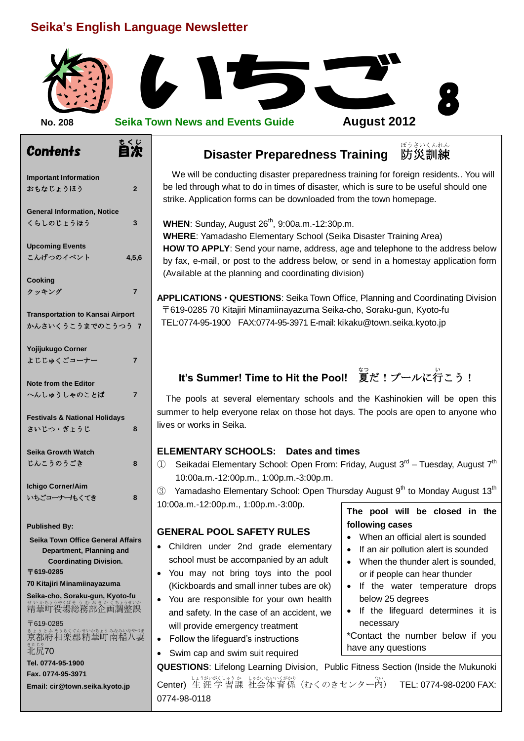## **Seika's English Language Newsletter**

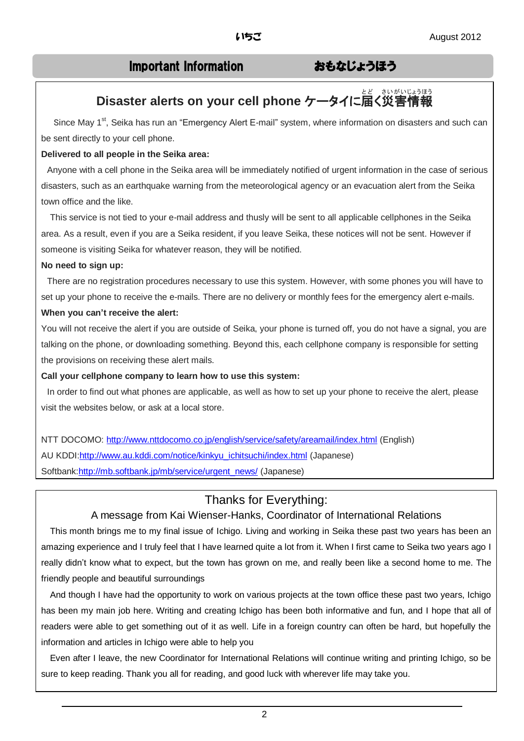## Important Information おもなじょうほう

# Disaster alerts on your cell phone ケータイに**届く災害情報**

Since May 1<sup>st</sup>, Seika has run an "Emergency Alert E-mail" system, where information on disasters and such can be sent directly to your cell phone.

#### **Delivered to all people in the Seika area:**

Anyone with a cell phone in the Seika area will be immediately notified of urgent information in the case of serious disasters, such as an earthquake warning from the meteorological agency or an evacuation alert from the Seika town office and the like.

 This service is not tied to your e-mail address and thusly will be sent to all applicable cellphones in the Seika area. As a result, even if you are a Seika resident, if you leave Seika, these notices will not be sent. However if someone is visiting Seika for whatever reason, they will be notified.

#### **No need to sign up:**

There are no registration procedures necessary to use this system. However, with some phones you will have to set up your phone to receive the e-mails. There are no delivery or monthly fees for the emergency alert e-mails.

#### **When you can't receive the alert:**

You will not receive the alert if you are outside of Seika, your phone is turned off, you do not have a signal, you are talking on the phone, or downloading something. Beyond this, each cellphone company is responsible for setting the provisions on receiving these alert mails.

#### **Call your cellphone company to learn how to use this system:**

In order to find out what phones are applicable, as well as how to set up your phone to receive the alert, please visit the websites below, or ask at a local store.

NTT DOCOMO:<http://www.nttdocomo.co.jp/english/service/safety/areamail/index.html> (English) AU KDDI[:http://www.au.kddi.com/notice/kinkyu\\_ichitsuchi/index.html](http://www.au.kddi.com/notice/kinkyu_ichitsuchi/index.html) (Japanese) Softbank[:http://mb.softbank.jp/mb/service/urgent\\_news/](http://mb.softbank.jp/mb/service/urgent_news/) (Japanese)

### Thanks for Everything:

#### A message from Kai Wienser-Hanks, Coordinator of International Relations

This month brings me to my final issue of Ichigo. Living and working in Seika these past two years has been an amazing experience and I truly feel that I have learned quite a lot from it. When I first came to Seika two years ago I really didn't know what to expect, but the town has grown on me, and really been like a second home to me. The friendly people and beautiful surroundings

And though I have had the opportunity to work on various projects at the town office these past two years, Ichigo has been my main job here. Writing and creating Ichigo has been both informative and fun, and I hope that all of readers were able to get something out of it as well. Life in a foreign country can often be hard, but hopefully the information and articles in Ichigo were able to help you

 Even after I leave, the new Coordinator for International Relations will continue writing and printing Ichigo, so be sure to keep reading. Thank you all for reading, and good luck with wherever life may take you.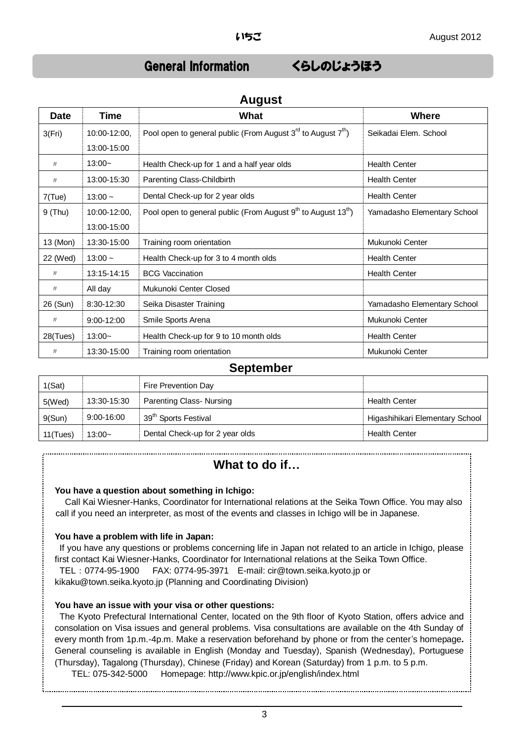# General Information くらしのじょうほう

| <b>Date</b> | Time           | What                                                                                  | Where                       |  |
|-------------|----------------|---------------------------------------------------------------------------------------|-----------------------------|--|
| 3(Fri)      | 10:00-12:00,   | Pool open to general public (From August $3^{rd}$ to August $7^{th}$ )                | Seikadai Elem. School       |  |
|             | 13:00-15:00    |                                                                                       |                             |  |
| IJ          | $13:00-$       | Health Check-up for 1 and a half year olds                                            | <b>Health Center</b>        |  |
| J           | 13:00-15:30    | Parenting Class-Childbirth                                                            | <b>Health Center</b>        |  |
| $7$ (Tue)   | $13:00 -$      | Dental Check-up for 2 year olds                                                       | <b>Health Center</b>        |  |
| $9$ (Thu)   | 10:00-12:00,   | Pool open to general public (From August 9 <sup>th</sup> to August 13 <sup>th</sup> ) | Yamadasho Elementary School |  |
|             | 13:00-15:00    |                                                                                       |                             |  |
| 13 (Mon)    | 13:30-15:00    | Training room orientation                                                             | Mukunoki Center             |  |
| 22 (Wed)    | $13:00 -$      | Health Check-up for 3 to 4 month olds                                                 | <b>Health Center</b>        |  |
| IJ          | 13:15-14:15    | <b>BCG Vaccination</b>                                                                | <b>Health Center</b>        |  |
| IJ          | All day        | Mukunoki Center Closed                                                                |                             |  |
| 26 (Sun)    | 8:30-12:30     | Seika Disaster Training                                                               | Yamadasho Elementary School |  |
| IJ          | $9:00 - 12:00$ | Smile Sports Arena                                                                    | Mukunoki Center             |  |
| 28(Tues)    | $13:00-$       | Health Check-up for 9 to 10 month olds                                                | <b>Health Center</b>        |  |
| IJ          | 13:30-15:00    | Training room orientation                                                             | Mukunoki Center             |  |

### **August**

#### **September**

| 1(Sat)   |                | Fire Prevention Day                |                                 |
|----------|----------------|------------------------------------|---------------------------------|
| 5(Wed)   | 13:30-15:30    | Parenting Class- Nursing           | <b>Health Center</b>            |
| 9(Sun)   | $9:00 - 16:00$ | . 39 <sup>th</sup> Sports Festival | Higashihikari Elementary School |
| 11(Tues) | $13:00-$       | Dental Check-up for 2 year olds    | <b>Health Center</b>            |

## **What to do if…**

#### **You have a question about something in Ichigo:**

Call Kai Wiesner-Hanks, Coordinator for International relations at the Seika Town Office. You may also call if you need an interpreter, as most of the events and classes in Ichigo will be in Japanese.

#### **You have a problem with life in Japan:**

If you have any questions or problems concerning life in Japan not related to an article in Ichigo, please first contact Kai Wiesner-Hanks, Coordinator for International relations at the Seika Town Office. TEL:0774-95-1900 FAX: 0774-95-3971 E-mail: cir@town.seika.kyoto.jp or kikaku@town.seika.kyoto.jp (Planning and Coordinating Division)

#### **You have an issue with your visa or other questions:**

The Kyoto Prefectural International Center, located on the 9th floor of Kyoto Station, offers advice and consolation on Visa issues and general problems. Visa consultations are available on the 4th Sunday of every month from 1p.m.-4p.m. Make a reservation beforehand by phone or from the center's homepage**.** General counseling is available in English (Monday and Tuesday), Spanish (Wednesday), Portuguese (Thursday), Tagalong (Thursday), Chinese (Friday) and Korean (Saturday) from 1 p.m. to 5 p.m.

TEL: 075-342-5000 Homepage: http://www.kpic.or.jp/english/index.html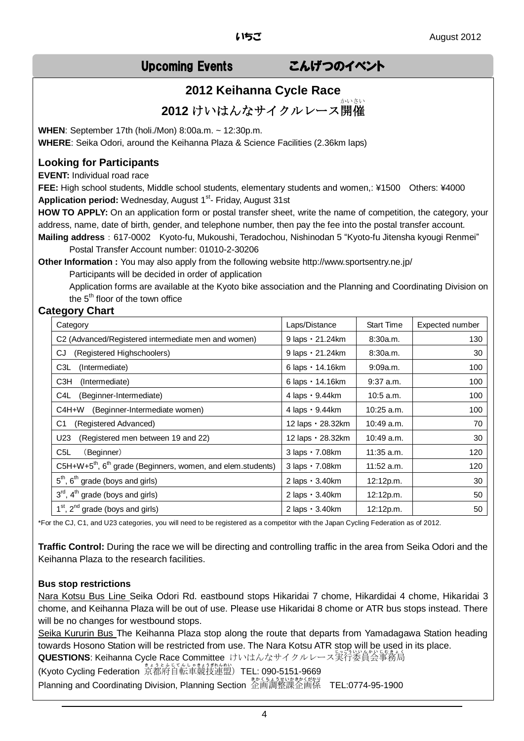# Upcoming Events こんげつのイベント

## **2012 Keihanna Cycle Race**

**2012** けいはんなサイクルレース開催

**WHEN**: September 17th (holi./Mon) 8:00a.m. ~ 12:30p.m. **WHERE**: Seika Odori, around the Keihanna Plaza & Science Facilities (2.36km laps)

#### **Looking for Participants**

**EVENT:** Individual road race

**FEE:** High school students, Middle school students, elementary students and women,: ¥1500 Others: ¥4000 Application period: Wednesday, August 1<sup>st</sup>- Friday, August 31st

**HOW TO APPLY:** On an application form or postal transfer sheet, write the name of competition, the category, your address, name, date of birth, gender, and telephone number, then pay the fee into the postal transfer account.

**Mailing address**:617-0002 Kyoto-fu, Mukoushi, Teradochou, Nishinodan 5 "Kyoto-fu Jitensha kyougi Renmei" Postal Transfer Account number: 01010-2-30206

**Other Information :** You may also apply from the following website http://www.sportsentry.ne.jp/ Participants will be decided in order of application

Application forms are available at the Kyoto bike association and the Planning and Coordinating Division on the  $5<sup>th</sup>$  floor of the town office

#### **Category Chart**

| Category                                                                            | Laps/Distance            | <b>Start Time</b> | Expected number |
|-------------------------------------------------------------------------------------|--------------------------|-------------------|-----------------|
| C2 (Advanced/Registered intermediate men and women)                                 | 9 laps · 21.24km         | 8:30a.m.          | 130             |
| (Registered Highschoolers)<br>CJ                                                    | 9 laps · 21.24km         | 8:30a.m.          | 30              |
| C3L<br>(Intermediate)                                                               | 6 laps · 14.16km         | 9:09a.m.          | 100             |
| C3H<br>(Intermediate)                                                               | 6 laps · 14.16km         | $9:37$ a.m.       | 100             |
| (Beginner-Intermediate)<br>C4L                                                      | $4$ laps $\cdot$ 9.44 km | 10:5 a.m.         | 100             |
| (Beginner-Intermediate women)<br>C4H+W                                              | 4 laps · 9.44km          | $10:25$ a.m.      | 100             |
| C1<br>(Registered Advanced)                                                         | 12 laps · 28.32km        | $10:49$ a.m.      | 70              |
| (Registered men between 19 and 22)<br>U23                                           | 12 laps · 28.32km        | 10:49 a.m.        | 30              |
| C <sub>5</sub> L<br>(Beginner)                                                      | 3 laps · 7.08km          | $11:35$ a.m.      | 120             |
| C5H+W+5 <sup>th</sup> , 6 <sup>th</sup> grade (Beginners, women, and elem.students) | 3 laps · 7.08km          | $11:52$ a.m.      | 120             |
| $5th$ , $6th$ grade (boys and girls)                                                | $2$ laps $\cdot$ 3.40 km | 12:12p.m.         | 30              |
| $3rd$ , $4th$ grade (boys and girls)                                                | 2 laps · 3.40km          | 12:12p.m.         | 50              |
| $1st$ , $2nd$ grade (boys and girls)                                                | $2$ laps $\cdot$ 3.40 km | 12:12p.m.         | 50              |

\*For the CJ, C1, and U23 categories, you will need to be registered as a competitor with the Japan Cycling Federation as of 2012.

**Traffic Control:** During the race we will be directing and controlling traffic in the area from Seika Odori and the Keihanna Plaza to the research facilities.

#### **Bus stop restrictions**

Nara Kotsu Bus Line Seika Odori Rd. eastbound stops Hikaridai 7 chome, Hikardidai 4 chome, Hikaridai 3 chome, and Keihanna Plaza will be out of use. Please use Hikaridai 8 chome or ATR bus stops instead. There will be no changes for westbound stops.

Seika Kururin Bus The Keihanna Plaza stop along the route that departs from Yamadagawa Station heading towards Hosono Station will be restricted from use. The Nara Kotsu ATR stop will be used in its place. **QUESTIONS**: Keihanna Cycle Race Committee けいはんなサイクルレース実行委員会事務局

(Kyoto Cycling Federation 京都府自転車競技連盟)TEL: 090-5151-9669 Planning and Coordinating Division, Planning Section 金画調整課企画係 TEL:0774-95-1900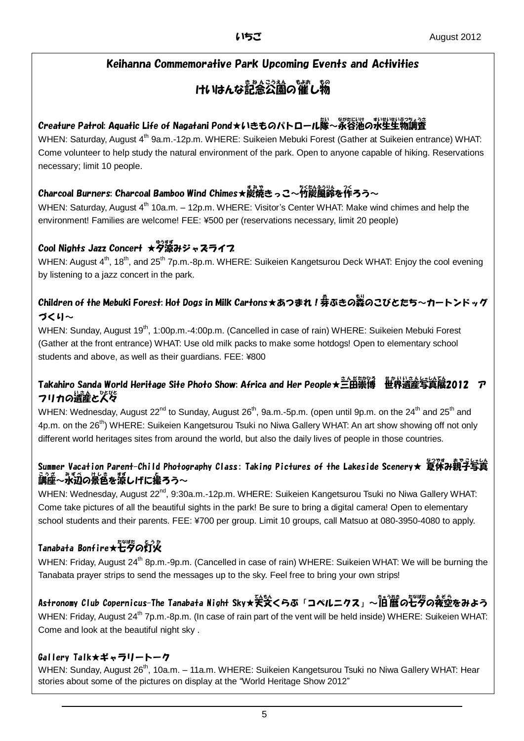## Keihanna Commemorative Park Upcoming Events and Activities

# けいはんな記念公園の催し物

## Creature Patrol: Aquatic Life of Nagatani Pond★いきものパトロール隊〜泳谷池の氷里堂粉謫養

WHEN: Saturday, August 4<sup>th</sup> 9a.m.-12p.m. WHERE: Suikeien Mebuki Forest (Gather at Suikeien entrance) WHAT: Come volunteer to help study the natural environment of the park. Open to anyone capable of hiking. Reservations necessary; limit 10 people.

## Charcoal Burners: Charcoal Bamboo Wind Chimes★炭焼きっこ~竹炭風鈴を作ろう~

WHEN: Saturday, August  $4<sup>th</sup>$  10a.m. – 12p.m. WHERE: Visitor's Center WHAT: Make wind chimes and help the environment! Families are welcome! FEE: ¥500 per (reservations necessary, limit 20 people)

## Cool Nights Jazz Concert ★夕涼みジャスライフ

WHEN: August 4<sup>th</sup>, 18<sup>th</sup>, and 25<sup>th</sup> 7p.m.-8p.m. WHERE: Suikeien Kangetsurou Deck WHAT: Enjoy the cool evening by listening to a jazz concert in the park.

## Children of the Mebuki Forest: Hot Dogs in Milk Cartons★あつまれ!券ぶきの蒸のこびとたち~カートンドッグ づくり~

WHEN: Sunday, August 19<sup>th</sup>, 1:00p.m.-4:00p.m. (Cancelled in case of rain) WHERE: Suikeien Mebuki Forest (Gather at the front entrance) WHAT: Use old milk packs to make some hotdogs! Open to elementary school students and above, as well as their guardians. FEE: ¥800

## Takahiro Sanda World Heritage Site Photo Show: Africa and Her People★三田崇博 世界遺産写真展2012 ア フリカの遺産と人々

WHEN: Wednesday, August 22<sup>nd</sup> to Sunday, August 26<sup>th</sup>, 9a.m.-5p.m. (open until 9p.m. on the 24<sup>th</sup> and 25<sup>th</sup> and 4p.m. on the 26<sup>th</sup>) WHERE: Suikeien Kangetsurou Tsuki no Niwa Gallery WHAT: An art show showing off not only different world heritages sites from around the world, but also the daily lives of people in those countries.

## Summer Vacation Parent-Child Photography Class: Taking Pictures of the Lakeside Scenery★ 复従み親子写貨 <u>。。。。。。。。</u><br>講座〜水辺の景色を涼しげに撮ろう〜

WHEN: Wednesday, August 22<sup>nd</sup>, 9:30a.m.-12p.m. WHERE: Suikeien Kangetsurou Tsuki no Niwa Gallery WHAT: Come take pictures of all the beautiful sights in the park! Be sure to bring a digital camera! Open to elementary school students and their parents. FEE: ¥700 per group. Limit 10 groups, call Matsuo at 080-3950-4080 to apply.

# Tanabata Bonfire★芒夕の灯火

WHEN: Friday, August 24<sup>th</sup> 8p.m.-9p.m. (Cancelled in case of rain) WHERE: Suikeien WHAT: We will be burning the Tanabata prayer strips to send the messages up to the sky. Feel free to bring your own strips!

# Astronomy Club Copernicus-The Tanabata Night Sky★关癸<らぶ「コペルニクス」~怕^僭の七夕の夜空をみよう

WHEN: Friday, August 24<sup>th</sup> 7p.m.-8p.m. (In case of rain part of the vent will be held inside) WHERE: Suikeien WHAT: Come and look at the beautiful night sky .

### Gallery Talk★ギャラリートーク

WHEN: Sunday, August 26<sup>th</sup>, 10a.m. – 11a.m. WHERE: Suikeien Kangetsurou Tsuki no Niwa Gallery WHAT: Hear stories about some of the pictures on display at the "World Heritage Show 2012"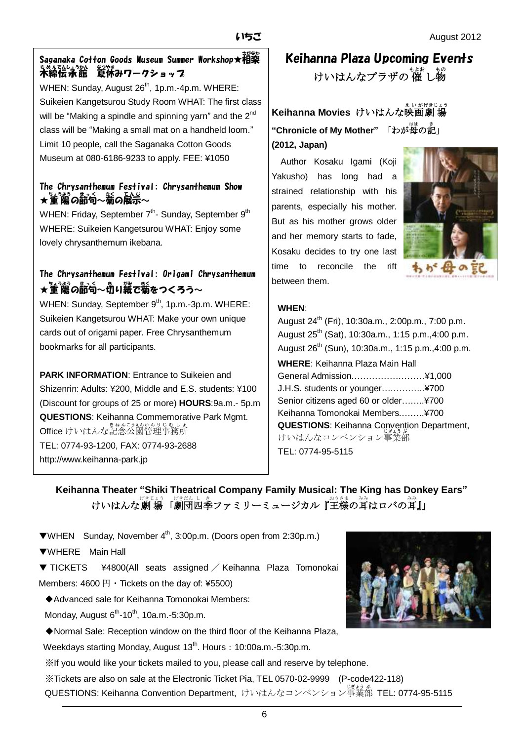## 、<br>Saganaka Cotton Goods Museum Summer Workshop★相楽 <u>もめんでんしょう</u>が、<br>**木綿伝承館 夏休みワークショッ**プ

WHEN: Sunday, August 26<sup>th</sup>, 1p.m.-4p.m. WHERE: Suikeien Kangetsurou Study Room WHAT: The first class will be "Making a spindle and spinning yarn" and the 2<sup>nd</sup> class will be "Making a small mat on a handheld loom." Limit 10 people, call the Saganaka Cotton Goods Museum at 080-6186-9233 to apply. FEE: ¥1050

### The Chrysanthemum Festival: Chrysanthemum Show ★董駕の節句〜覇の展示〜

WHEN: Friday, September 7<sup>th</sup>- Sunday, September 9<sup>th</sup> WHERE: Suikeien Kangetsurou WHAT: Enjoy some lovely chrysanthemum ikebana.

## The Chrysanthemum Festival: Origami Chrysanthemum ★董觴の齗句~मい縦で菊をつくろう~

WHEN: Sunday, September 9<sup>th</sup>, 1p.m.-3p.m. WHERE: Suikeien Kangetsurou WHAT: Make your own unique cards out of origami paper. Free Chrysanthemum bookmarks for all participants.

**PARK INFORMATION:** Entrance to Suikeien and Shizenrin: Adults: ¥200, Middle and E.S. students: ¥100 (Discount for groups of 25 or more) **HOURS**:9a.m.- 5p.m **QUESTIONS**: Keihanna Commemorative Park Mgmt. **Office** けいはんな記念公園管理事務所 TEL: 0774-93-1200, FAX: 0774-93-2688 http://www.keihanna-park.jp

Keihanna Plaza Upcoming Events けいはんなプラザの 催 し物

**Keihanna Movies** けいはんな映画劇場 "Chronicle of My Mother" 「わが母の記」 **(2012, Japan)**

 Author Kosaku Igami (Koji Yakusho) has long had a strained relationship with his parents, especially his mother. But as his mother grows older and her memory starts to fade, Kosaku decides to try one last time to reconcile the rift between them.



### **WHEN**:

| August 24 <sup>th</sup> (Fri), 10:30a.m., 2:00p.m., 7:00 p.m.  |
|----------------------------------------------------------------|
| August 25 <sup>th</sup> (Sat), 10:30a.m., 1:15 p.m., 4:00 p.m. |
| August 26 <sup>th</sup> (Sun), 10:30a.m., 1:15 p.m., 4:00 p.m. |
| <b>WHERE: Keihanna Plaza Main Hall</b>                         |
| General Admission¥1,000                                        |
| J.H.S. students or younger¥700                                 |
| Senior citizens aged 60 or older¥700                           |
| Keihanna Tomonokai Members¥700                                 |
| <b>QUESTIONS:</b> Keihanna Convention Department,              |
| けいはんなコンベンション事業部                                                |
| TEL: 0774-95-5115                                              |

## **Keihanna Theater "Shiki Theatrical Company Family Musical: The King has Donkey Ears"** けいはんな劇場「劇団四季ファミリーミュージカル『<sup>お</sup>誌の耸はロバの耸』」

▼WHEN Sunday, November 4th, 3:00p.m. (Doors open from 2:30p.m.)

▼WHERE Main Hall

▼ TICKETS ¥4800(All seats assigned / Keihanna Plaza Tomonokai Members:  $4600 \text{ H} \cdot \text{Tickets}$  on the day of: ¥5500)

◆Advanced sale for Keihanna Tomonokai Members:

Monday, August  $6<sup>th</sup>$ -10<sup>th</sup>, 10a.m.-5:30p.m.

◆Normal Sale: Reception window on the third floor of the Keihanna Plaza,

Weekdays starting Monday, August 13<sup>th</sup>. Hours: 10:00a.m.-5:30p.m.

※If you would like your tickets mailed to you, please call and reserve by telephone.

※Tickets are also on sale at the Electronic Ticket Pia, TEL 0570-02-9999 (P-code422-118) QUESTIONS: Keihanna Convention Department, けいはんなコンベンション事業 じぎょう 部 ぶ TEL: 0774-95-5115

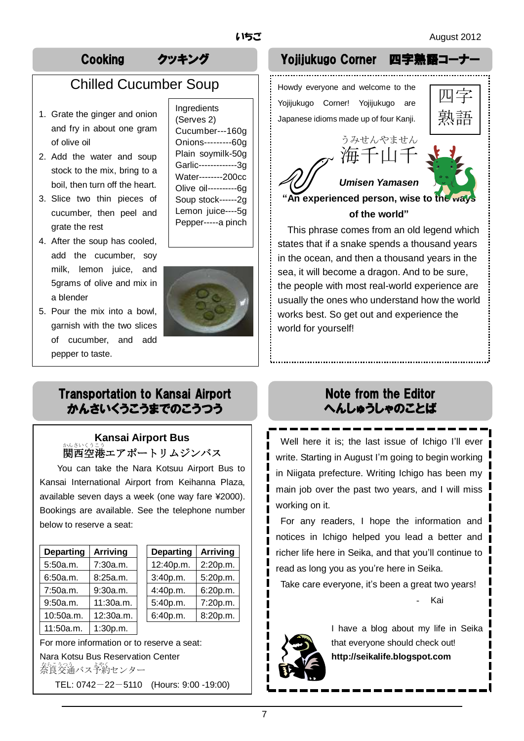# Chilled Cucumber Soup

- 1. Grate the ginger and onion and fry in about one gram of olive oil
- 2. Add the water and soup stock to the mix, bring to a boil, then turn off the heart.
- 3. Slice two thin pieces of cucumber, then peel and grate the rest
- 4. After the soup has cooled, add the cucumber, soy milk, lemon juice, and 5grams of olive and mix in a blender
- 5. Pour the mix into a bowl, garnish with the two slices of cucumber, and add pepper to taste.

Ingredients (Serves 2) Cucumber---160g Onions---------60g Plain soymilk-50g Garlic-------------3g Water--------200cc Olive oil----------6g Soup stock------2g Lemon juice----5g Pepper-----a pinch



## Transportation to Kansai Airport かんさいくうこうまでのこうつう

## **Kansai Airport Bus** ゕ<u>ょいくこう</u><br>関西空港エアポートリムジンバス

You can take the Nara Kotsuu Airport Bus to Kansai International Airport from Keihanna Plaza, available seven days a week (one way fare ¥2000). Bookings are available. See the telephone number below to reserve a seat:

| <b>Departing</b> | <b>Arriving</b> |
|------------------|-----------------|
| 5:50a.m.         | 7:30a.m.        |
| 6:50a.m.         | 8:25a.m.        |
| 7:50a.m.         | 9:30a.m.        |
| 9:50a.m.         | 11:30a.m.       |
| 10:50a.m.        | 12:30a.m.       |
| 11:50a.m.        | 1:30p.m.        |

| <b>Departing</b> | <b>Arriving</b> | <b>Departing</b> | <b>Arriving</b> |
|------------------|-----------------|------------------|-----------------|
| 5:50a.m.         | 7:30a.m.        | 12:40p.m.        | 2:20p.m.        |
| 6:50a.m.         | 8:25a.m.        | 3:40p.m.         | 5:20p.m.        |
| 7:50a.m.         | 9:30a.m.        | 4:40p.m.         | 6:20p.m.        |
| 9:50a.m.         | 11:30a.m.       | 5:40p.m.         | 7:20p.m.        |
| 10:50a.m.        | 12:30a.m.       | 6:40p.m.         | 8:20p.m.        |
|                  |                 |                  |                 |

For more information or to reserve a seat: Nara Kotsu Bus Reservation Center

をらえる。<br>奈良交通バス予約センター

TEL: 0742-22-5110 (Hours: 9:00 -19:00)

## Cooking クッキング Yojijukugo Corner 四字熟語コーナ

Howdy everyone and welcome to the

Yojijukugo Corner! Yojijukugo are Japanese idioms made up of four Kanji.





**"An experienced person, wise to the ways of the world"**

This phrase comes from an old legend which states that if a snake spends a thousand years in the ocean, and then a thousand years in the sea, it will become a dragon. And to be sure, the people with most real-world experience are usually the ones who understand how the world works best. So get out and experience the world for yourself!

## Note from the Editor へんしゅうしゃのことば

Well here it is: the last issue of Ichigo I'll ever write. Starting in August I'm going to begin working in Niigata prefecture. Writing Ichigo has been my main job over the past two years, and I will miss working on it.

For any readers, I hope the information and notices in Ichigo helped you lead a better and richer life here in Seika, and that you'll continue to read as long you as you're here in Seika.

Take care everyone, it's been a great two years!

**Kai** 



I have a blog about my life in Seika that everyone should check out! **http://seikalife.blogspot.com**